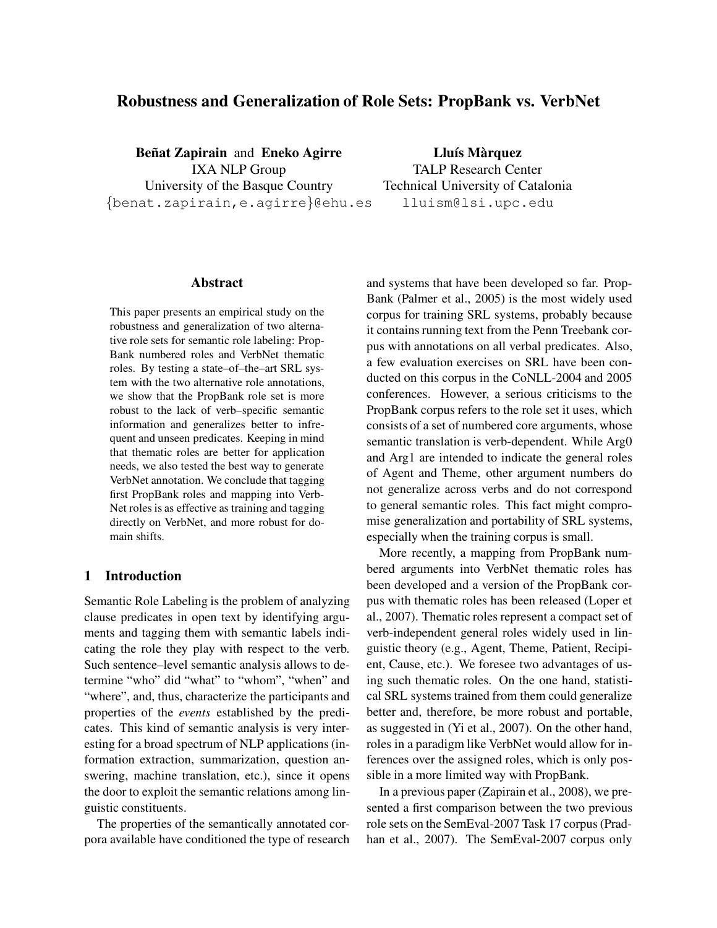# Robustness and Generalization of Role Sets: PropBank vs. VerbNet

Beñat Zapirain and Eneko Agirre IXA NLP Group University of the Basque Country {benat.zapirain,e.agirre}@ehu.es

Lluís Màrquez TALP Research Center Technical University of Catalonia lluism@lsi.upc.edu

# Abstract

This paper presents an empirical study on the robustness and generalization of two alternative role sets for semantic role labeling: Prop-Bank numbered roles and VerbNet thematic roles. By testing a state–of–the–art SRL system with the two alternative role annotations, we show that the PropBank role set is more robust to the lack of verb–specific semantic information and generalizes better to infrequent and unseen predicates. Keeping in mind that thematic roles are better for application needs, we also tested the best way to generate VerbNet annotation. We conclude that tagging first PropBank roles and mapping into Verb-Net roles is as effective as training and tagging directly on VerbNet, and more robust for domain shifts.

# 1 Introduction

Semantic Role Labeling is the problem of analyzing clause predicates in open text by identifying arguments and tagging them with semantic labels indicating the role they play with respect to the verb. Such sentence–level semantic analysis allows to determine "who" did "what" to "whom", "when" and "where", and, thus, characterize the participants and properties of the events established by the predicates. This kind of semantic analysis is very interesting for a broad spectrum of NLP applications (information extraction, summarization, question answering, machine translation, etc.), since it opens the door to exploit the semantic relations among linguistic constituents.

The properties of the semantically annotated corpora available have conditioned the type of research and systems that have been developed so far. Prop-Bank (Palmer et al., 2005) is the most widely used corpus for training SRL systems, probably because it contains running text from the Penn Treebank corpus with annotations on all verbal predicates. Also, a few evaluation exercises on SRL have been conducted on this corpus in the CoNLL-2004 and 2005 conferences. However, a serious criticisms to the PropBank corpus refers to the role set it uses, which consists of a set of numbered core arguments, whose semantic translation is verb-dependent. While Arg0 and Arg1 are intended to indicate the general roles of Agent and Theme, other argument numbers do not generalize across verbs and do not correspond to general semantic roles. This fact might compromise generalization and portability of SRL systems, especially when the training corpus is small.

More recently, a mapping from PropBank numbered arguments into VerbNet thematic roles has been developed and a version of the PropBank corpus with thematic roles has been released (Loper et al., 2007). Thematic roles represent a compact set of verb-independent general roles widely used in linguistic theory (e.g., Agent, Theme, Patient, Recipient, Cause, etc.). We foresee two advantages of using such thematic roles. On the one hand, statistical SRL systems trained from them could generalize better and, therefore, be more robust and portable, as suggested in (Yi et al., 2007). On the other hand, roles in a paradigm like VerbNet would allow for inferences over the assigned roles, which is only possible in a more limited way with PropBank.

In a previous paper (Zapirain et al., 2008), we presented a first comparison between the two previous role sets on the SemEval-2007 Task 17 corpus (Pradhan et al., 2007). The SemEval-2007 corpus only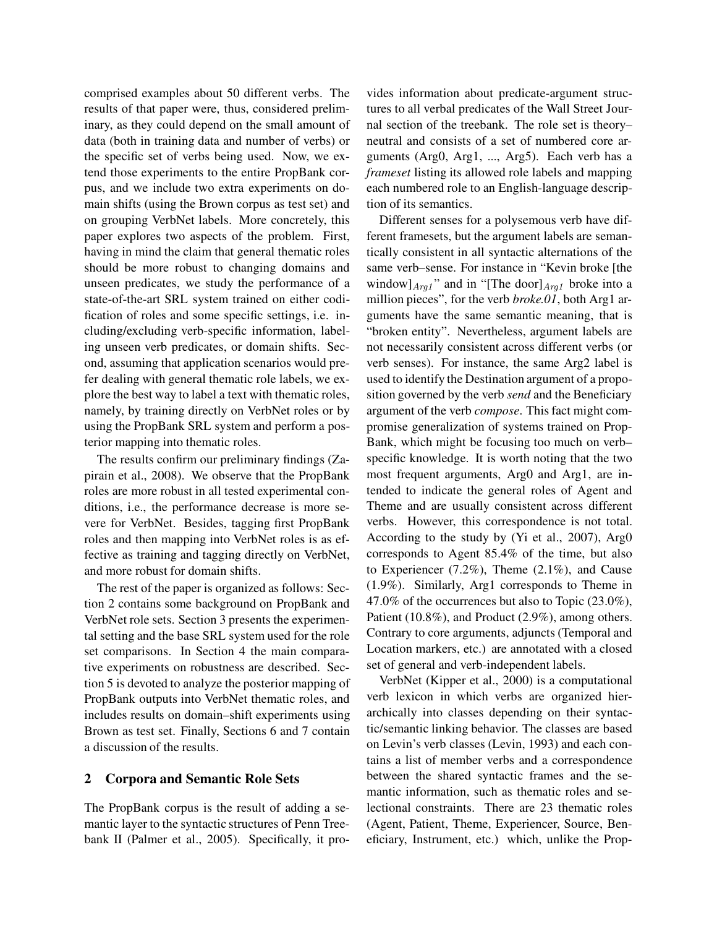comprised examples about 50 different verbs. The results of that paper were, thus, considered preliminary, as they could depend on the small amount of data (both in training data and number of verbs) or the specific set of verbs being used. Now, we extend those experiments to the entire PropBank corpus, and we include two extra experiments on domain shifts (using the Brown corpus as test set) and on grouping VerbNet labels. More concretely, this paper explores two aspects of the problem. First, having in mind the claim that general thematic roles should be more robust to changing domains and unseen predicates, we study the performance of a state-of-the-art SRL system trained on either codification of roles and some specific settings, i.e. including/excluding verb-specific information, labeling unseen verb predicates, or domain shifts. Second, assuming that application scenarios would prefer dealing with general thematic role labels, we explore the best way to label a text with thematic roles, namely, by training directly on VerbNet roles or by using the PropBank SRL system and perform a posterior mapping into thematic roles.

The results confirm our preliminary findings (Zapirain et al., 2008). We observe that the PropBank roles are more robust in all tested experimental conditions, i.e., the performance decrease is more severe for VerbNet. Besides, tagging first PropBank roles and then mapping into VerbNet roles is as effective as training and tagging directly on VerbNet, and more robust for domain shifts.

The rest of the paper is organized as follows: Section 2 contains some background on PropBank and VerbNet role sets. Section 3 presents the experimental setting and the base SRL system used for the role set comparisons. In Section 4 the main comparative experiments on robustness are described. Section 5 is devoted to analyze the posterior mapping of PropBank outputs into VerbNet thematic roles, and includes results on domain–shift experiments using Brown as test set. Finally, Sections 6 and 7 contain a discussion of the results.

## 2 Corpora and Semantic Role Sets

The PropBank corpus is the result of adding a semantic layer to the syntactic structures of Penn Treebank II (Palmer et al., 2005). Specifically, it provides information about predicate-argument structures to all verbal predicates of the Wall Street Journal section of the treebank. The role set is theory– neutral and consists of a set of numbered core arguments (Arg0, Arg1, ..., Arg5). Each verb has a frameset listing its allowed role labels and mapping each numbered role to an English-language description of its semantics.

Different senses for a polysemous verb have different framesets, but the argument labels are semantically consistent in all syntactic alternations of the same verb–sense. For instance in "Kevin broke [the window] $_{Arg1}$ " and in "[The door] $_{Arg1}$  broke into a million pieces", for the verb *broke.01*, both Arg1 arguments have the same semantic meaning, that is "broken entity". Nevertheless, argument labels are not necessarily consistent across different verbs (or verb senses). For instance, the same Arg2 label is used to identify the Destination argument of a proposition governed by the verb send and the Beneficiary argument of the verb compose. This fact might compromise generalization of systems trained on Prop-Bank, which might be focusing too much on verb– specific knowledge. It is worth noting that the two most frequent arguments, Arg0 and Arg1, are intended to indicate the general roles of Agent and Theme and are usually consistent across different verbs. However, this correspondence is not total. According to the study by (Yi et al., 2007), Arg0 corresponds to Agent 85.4% of the time, but also to Experiencer (7.2%), Theme (2.1%), and Cause (1.9%). Similarly, Arg1 corresponds to Theme in 47.0% of the occurrences but also to Topic (23.0%), Patient (10.8%), and Product (2.9%), among others. Contrary to core arguments, adjuncts (Temporal and Location markers, etc.) are annotated with a closed set of general and verb-independent labels.

VerbNet (Kipper et al., 2000) is a computational verb lexicon in which verbs are organized hierarchically into classes depending on their syntactic/semantic linking behavior. The classes are based on Levin's verb classes (Levin, 1993) and each contains a list of member verbs and a correspondence between the shared syntactic frames and the semantic information, such as thematic roles and selectional constraints. There are 23 thematic roles (Agent, Patient, Theme, Experiencer, Source, Beneficiary, Instrument, etc.) which, unlike the Prop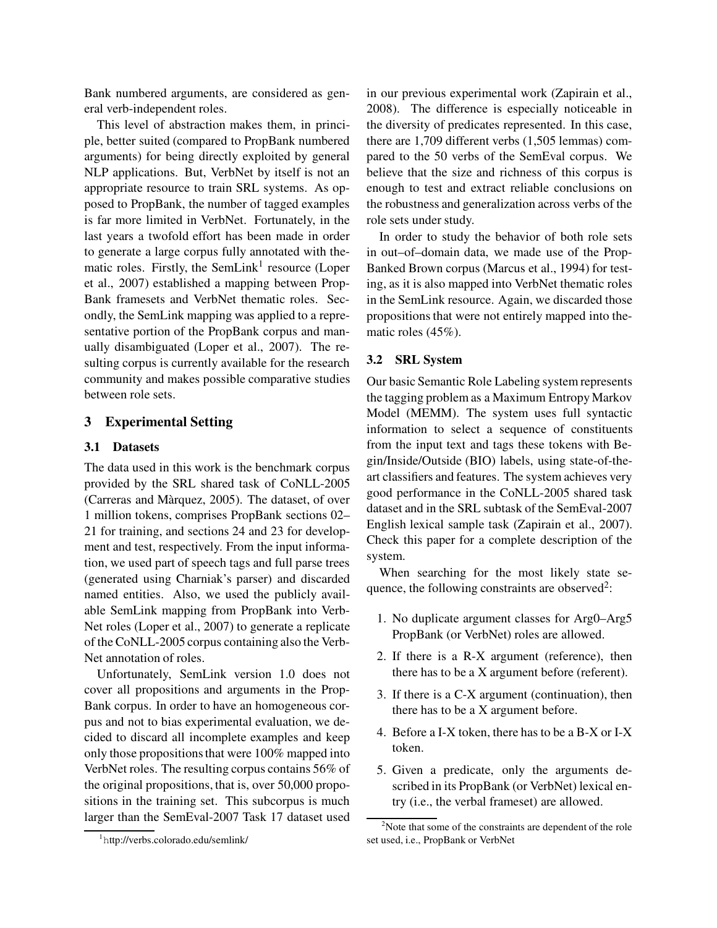Bank numbered arguments, are considered as general verb-independent roles.

This level of abstraction makes them, in principle, better suited (compared to PropBank numbered arguments) for being directly exploited by general NLP applications. But, VerbNet by itself is not an appropriate resource to train SRL systems. As opposed to PropBank, the number of tagged examples is far more limited in VerbNet. Fortunately, in the last years a twofold effort has been made in order to generate a large corpus fully annotated with thematic roles. Firstly, the SemLink<sup>1</sup> resource (Loper et al., 2007) established a mapping between Prop-Bank framesets and VerbNet thematic roles. Secondly, the SemLink mapping was applied to a representative portion of the PropBank corpus and manually disambiguated (Loper et al., 2007). The resulting corpus is currently available for the research community and makes possible comparative studies between role sets.

## 3 Experimental Setting

#### 3.1 Datasets

The data used in this work is the benchmark corpus provided by the SRL shared task of CoNLL-2005 (Carreras and Màrquez, 2005). The dataset, of over 1 million tokens, comprises PropBank sections 02– 21 for training, and sections 24 and 23 for development and test, respectively. From the input information, we used part of speech tags and full parse trees (generated using Charniak's parser) and discarded named entities. Also, we used the publicly available SemLink mapping from PropBank into Verb-Net roles (Loper et al., 2007) to generate a replicate of the CoNLL-2005 corpus containing also the Verb-Net annotation of roles.

Unfortunately, SemLink version 1.0 does not cover all propositions and arguments in the Prop-Bank corpus. In order to have an homogeneous corpus and not to bias experimental evaluation, we decided to discard all incomplete examples and keep only those propositionsthat were 100% mapped into VerbNet roles. The resulting corpus contains 56% of the original propositions, that is, over 50,000 propositions in the training set. This subcorpus is much larger than the SemEval-2007 Task 17 dataset used in our previous experimental work (Zapirain et al., 2008). The difference is especially noticeable in the diversity of predicates represented. In this case, there are 1,709 different verbs (1,505 lemmas) compared to the 50 verbs of the SemEval corpus. We believe that the size and richness of this corpus is enough to test and extract reliable conclusions on the robustness and generalization across verbs of the role sets under study.

In order to study the behavior of both role sets in out–of–domain data, we made use of the Prop-Banked Brown corpus (Marcus et al., 1994) for testing, as it is also mapped into VerbNet thematic roles in the SemLink resource. Again, we discarded those propositions that were not entirely mapped into thematic roles (45%).

#### 3.2 SRL System

Our basic Semantic Role Labeling system represents the tagging problem as a Maximum Entropy Markov Model (MEMM). The system uses full syntactic information to select a sequence of constituents from the input text and tags these tokens with Begin/Inside/Outside (BIO) labels, using state-of-theart classifiers and features. The system achieves very good performance in the CoNLL-2005 shared task dataset and in the SRL subtask of the SemEval-2007 English lexical sample task (Zapirain et al., 2007). Check this paper for a complete description of the system.

When searching for the most likely state sequence, the following constraints are observed<sup>2</sup>:

- 1. No duplicate argument classes for Arg0–Arg5 PropBank (or VerbNet) roles are allowed.
- 2. If there is a R-X argument (reference), then there has to be a X argument before (referent).
- 3. If there is a C-X argument (continuation), then there has to be a X argument before.
- 4. Before a I-X token, there has to be a B-X or I-X token.
- 5. Given a predicate, only the arguments described in its PropBank (or VerbNet) lexical entry (i.e., the verbal frameset) are allowed.

<sup>1</sup>http://verbs.colorado.edu/semlink/

<sup>&</sup>lt;sup>2</sup>Note that some of the constraints are dependent of the role set used, i.e., PropBank or VerbNet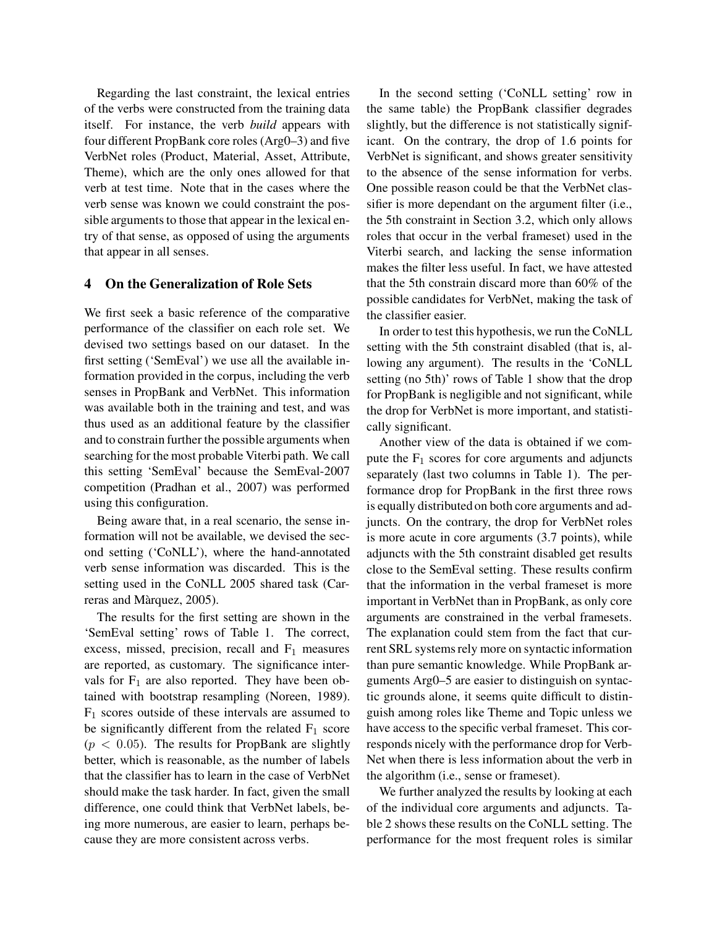Regarding the last constraint, the lexical entries of the verbs were constructed from the training data itself. For instance, the verb build appears with four different PropBank core roles (Arg0–3) and five VerbNet roles (Product, Material, Asset, Attribute, Theme), which are the only ones allowed for that verb at test time. Note that in the cases where the verb sense was known we could constraint the possible arguments to those that appear in the lexical entry of that sense, as opposed of using the arguments that appear in all senses.

## 4 On the Generalization of Role Sets

We first seek a basic reference of the comparative performance of the classifier on each role set. We devised two settings based on our dataset. In the first setting ('SemEval') we use all the available information provided in the corpus, including the verb senses in PropBank and VerbNet. This information was available both in the training and test, and was thus used as an additional feature by the classifier and to constrain further the possible arguments when searching for the most probable Viterbi path. We call this setting 'SemEval' because the SemEval-2007 competition (Pradhan et al., 2007) was performed using this configuration.

Being aware that, in a real scenario, the sense information will not be available, we devised the second setting ('CoNLL'), where the hand-annotated verb sense information was discarded. This is the setting used in the CoNLL 2005 shared task (Carreras and Màrquez, 2005).

The results for the first setting are shown in the 'SemEval setting' rows of Table 1. The correct, excess, missed, precision, recall and  $F_1$  measures are reported, as customary. The significance intervals for  $F_1$  are also reported. They have been obtained with bootstrap resampling (Noreen, 1989).  $F_1$  scores outside of these intervals are assumed to be significantly different from the related  $F_1$  score  $(p < 0.05)$ . The results for PropBank are slightly better, which is reasonable, as the number of labels that the classifier has to learn in the case of VerbNet should make the task harder. In fact, given the small difference, one could think that VerbNet labels, being more numerous, are easier to learn, perhaps because they are more consistent across verbs.

In the second setting ('CoNLL setting' row in the same table) the PropBank classifier degrades slightly, but the difference is not statistically significant. On the contrary, the drop of 1.6 points for VerbNet is significant, and shows greater sensitivity to the absence of the sense information for verbs. One possible reason could be that the VerbNet classifier is more dependant on the argument filter (i.e., the 5th constraint in Section 3.2, which only allows roles that occur in the verbal frameset) used in the Viterbi search, and lacking the sense information makes the filter less useful. In fact, we have attested that the 5th constrain discard more than 60% of the possible candidates for VerbNet, making the task of the classifier easier.

In order to test this hypothesis, we run the CoNLL setting with the 5th constraint disabled (that is, allowing any argument). The results in the 'CoNLL setting (no 5th)' rows of Table 1 show that the drop for PropBank is negligible and not significant, while the drop for VerbNet is more important, and statistically significant.

Another view of the data is obtained if we compute the  $F_1$  scores for core arguments and adjuncts separately (last two columns in Table 1). The performance drop for PropBank in the first three rows is equally distributed on both core arguments and adjuncts. On the contrary, the drop for VerbNet roles is more acute in core arguments (3.7 points), while adjuncts with the 5th constraint disabled get results close to the SemEval setting. These results confirm that the information in the verbal frameset is more important in VerbNet than in PropBank, as only core arguments are constrained in the verbal framesets. The explanation could stem from the fact that current SRL systems rely more on syntactic information than pure semantic knowledge. While PropBank arguments Arg0–5 are easier to distinguish on syntactic grounds alone, it seems quite difficult to distinguish among roles like Theme and Topic unless we have access to the specific verbal frameset. This corresponds nicely with the performance drop for Verb-Net when there is less information about the verb in the algorithm (i.e., sense or frameset).

We further analyzed the results by looking at each of the individual core arguments and adjuncts. Table 2 shows these results on the CoNLL setting. The performance for the most frequent roles is similar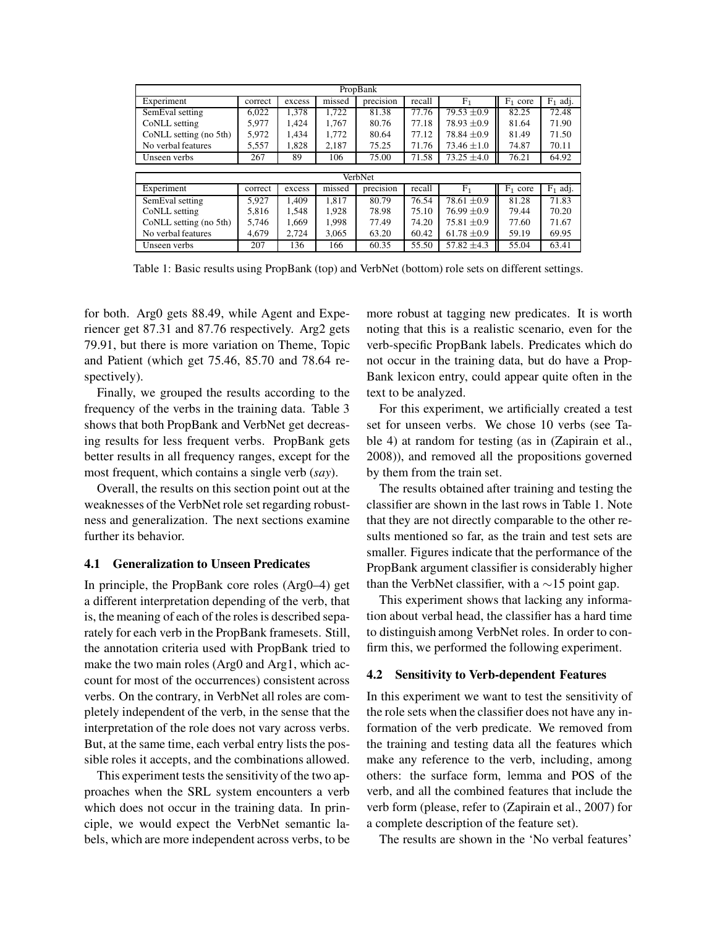| PropBank               |         |        |                    |           |        |                 |            |            |
|------------------------|---------|--------|--------------------|-----------|--------|-----------------|------------|------------|
| Experiment             | correct | excess | missed             | precision | recall | F <sub>1</sub>  | $F_1$ core | $F_1$ adj. |
| SemEval setting        | 6,022   | 1,378  | $\overline{1,722}$ | 81.38     | 77.76  | $79.53 \pm 0.9$ | 82.25      | 72.48      |
| CoNLL setting          | 5,977   | 1.424  | 1.767              | 80.76     | 77.18  | $78.93 \pm 0.9$ | 81.64      | 71.90      |
| CoNLL setting (no 5th) | 5,972   | 1.434  | 1.772              | 80.64     | 77.12  | $78.84 \pm 0.9$ | 81.49      | 71.50      |
| No verbal features     | 5,557   | 1,828  | 2,187              | 75.25     | 71.76  | $73.46 \pm 1.0$ | 74.87      | 70.11      |
| Unseen verbs           | 267     | 89     | 106                | 75.00     | 71.58  | $73.25 \pm 4.0$ | 76.21      | 64.92      |
|                        |         |        |                    |           |        |                 |            |            |
| VerbNet                |         |        |                    |           |        |                 |            |            |
| Experiment             | correct | excess | missed             | precision | recall | F <sub>1</sub>  | $F_1$ core | $F_1$ adj. |
| SemEval setting        | 5.927   | 1.409  | 1.817              | 80.79     | 76.54  | $78.61 \pm 0.9$ | 81.28      | 71.83      |
| CoNLL setting          | 5.816   | 1.548  | 1.928              | 78.98     | 75.10  | $76.99 \pm 0.9$ | 79.44      | 70.20      |
| CoNLL setting (no 5th) | 5.746   | 1.669  | 1.998              | 77.49     | 74.20  | $75.81 \pm 0.9$ | 77.60      | 71.67      |
| No verbal features     | 4.679   | 2.724  | 3.065              | 63.20     | 60.42  | $61.78 \pm 0.9$ | 59.19      | 69.95      |
| Unseen verbs           | 207     | 136    | 166                | 60.35     | 55.50  | $57.82 \pm 4.3$ | 55.04      | 63.41      |

Table 1: Basic results using PropBank (top) and VerbNet (bottom) role sets on different settings.

for both. Arg0 gets 88.49, while Agent and Experiencer get 87.31 and 87.76 respectively. Arg2 gets 79.91, but there is more variation on Theme, Topic and Patient (which get 75.46, 85.70 and 78.64 respectively).

Finally, we grouped the results according to the frequency of the verbs in the training data. Table 3 shows that both PropBank and VerbNet get decreasing results for less frequent verbs. PropBank gets better results in all frequency ranges, except for the most frequent, which contains a single verb  $(say)$ .

Overall, the results on this section point out at the weaknesses of the VerbNet role set regarding robustness and generalization. The next sections examine further its behavior.

#### 4.1 Generalization to Unseen Predicates

In principle, the PropBank core roles (Arg0–4) get a different interpretation depending of the verb, that is, the meaning of each of the roles is described separately for each verb in the PropBank framesets. Still, the annotation criteria used with PropBank tried to make the two main roles (Arg0 and Arg1, which account for most of the occurrences) consistent across verbs. On the contrary, in VerbNet all roles are completely independent of the verb, in the sense that the interpretation of the role does not vary across verbs. But, at the same time, each verbal entry lists the possible roles it accepts, and the combinations allowed.

This experiment tests the sensitivity of the two approaches when the SRL system encounters a verb which does not occur in the training data. In principle, we would expect the VerbNet semantic labels, which are more independent across verbs, to be more robust at tagging new predicates. It is worth noting that this is a realistic scenario, even for the verb-specific PropBank labels. Predicates which do not occur in the training data, but do have a Prop-Bank lexicon entry, could appear quite often in the text to be analyzed.

For this experiment, we artificially created a test set for unseen verbs. We chose 10 verbs (see Table 4) at random for testing (as in (Zapirain et al., 2008)), and removed all the propositions governed by them from the train set.

The results obtained after training and testing the classifier are shown in the last rows in Table 1. Note that they are not directly comparable to the other results mentioned so far, as the train and test sets are smaller. Figures indicate that the performance of the PropBank argument classifier is considerably higher than the VerbNet classifier, with a  $\sim$ 15 point gap.

This experiment shows that lacking any information about verbal head, the classifier has a hard time to distinguish among VerbNet roles. In order to confirm this, we performed the following experiment.

#### 4.2 Sensitivity to Verb-dependent Features

In this experiment we want to test the sensitivity of the role sets when the classifier does not have any information of the verb predicate. We removed from the training and testing data all the features which make any reference to the verb, including, among others: the surface form, lemma and POS of the verb, and all the combined features that include the verb form (please, refer to (Zapirain et al., 2007) for a complete description of the feature set).

The results are shown in the 'No verbal features'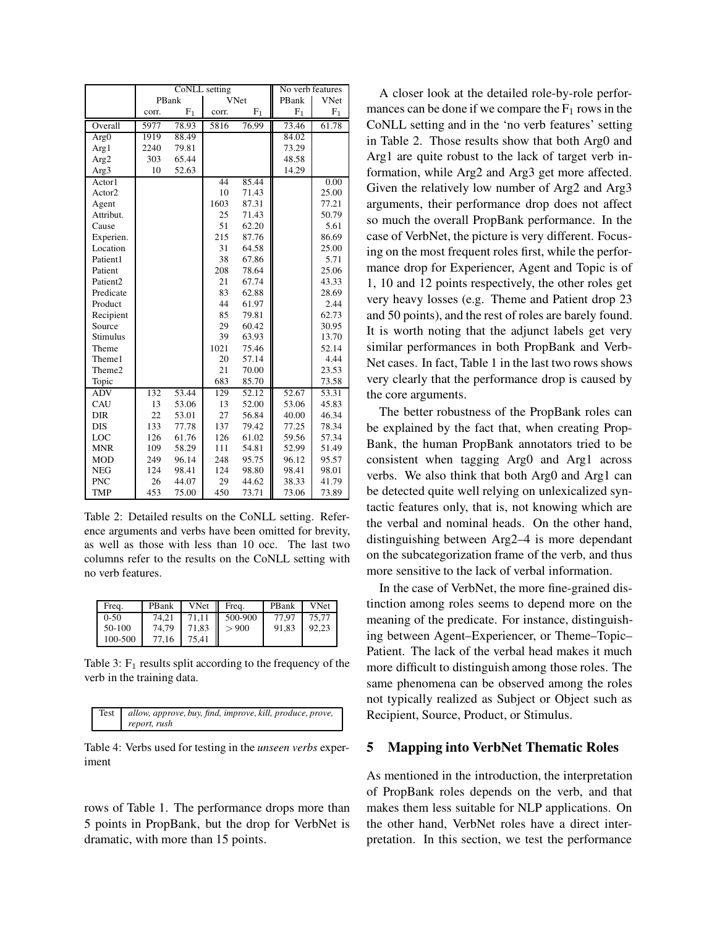|                      | CoNLL setting |                |             | No verb features |                |             |
|----------------------|---------------|----------------|-------------|------------------|----------------|-------------|
|                      |               | PBank          | <b>VNet</b> |                  | PBank          | <b>VNet</b> |
|                      | corr.         | F <sub>1</sub> | corr.       | $F_1$            | F <sub>1</sub> | ${\rm F_1}$ |
| Overall              | 5977          | 78.93          | 5816        | 76.99            | 73.46          | 61.78       |
| Arg0                 | 1919          | 88.49          |             |                  | 84.02          |             |
| Arg1                 | 2240          | 79.81          |             |                  | 73.29          |             |
| Arg2                 | 303           | 65.44          |             |                  | 48.58          |             |
| Arg3                 | 10            | 52.63          |             |                  | 14.29          |             |
| Actor1               |               |                | 44          | 85.44            |                | 0.00        |
| Actor2               |               |                | 10          | 71.43            |                | 25.00       |
| Agent                |               |                | 1603        | 87.31            |                | 77.21       |
| Attribut.            |               |                | 25          | 71.43            |                | 50.79       |
| Cause                |               |                | 51          | 62.20            |                | 5.61        |
| Experien.            |               |                | 215         | 87.76            |                | 86.69       |
| Location             |               |                | 31          | 64.58            |                | 25.00       |
| Patient1             |               |                | 38          | 67.86            |                | 5.71        |
| Patient              |               |                | 208         | 78.64            |                | 25.06       |
| Patient <sub>2</sub> |               |                | 21          | 67.74            |                | 43.33       |
| Predicate            |               |                | 83          | 62.88            |                | 28.69       |
| Product              |               |                | 44          | 61.97            |                | 2.44        |
| Recipient            |               |                | 85          | 79.81            |                | 62.73       |
| Source               |               |                | 29          | 60.42            |                | 30.95       |
| <b>Stimulus</b>      |               |                | 39          | 63.93            |                | 13.70       |
| Theme                |               |                | 1021        | 75.46            |                | 52.14       |
| Theme1               |               |                | 20          | 57.14            |                | 4.44        |
| Theme2               |               |                | 21          | 70.00            |                | 23.53       |
| Topic                |               |                | 683         | 85.70            |                | 73.58       |
| <b>ADV</b>           | 132           | 53.44          | 129         | 52.12            | 52.67          | 53.31       |
| CAU                  | 13            | 53.06          | 13          | 52.00            | 53.06          | 45.83       |
| <b>DIR</b>           | 22            | 53.01          | 27          | 56.84            | 40.00          | 46.34       |
| <b>DIS</b>           | 133           | 77.78          | 137         | 79.42            | 77.25          | 78.34       |
| LOC                  | 126           | 61.76          | 126         | 61.02            | 59.56          | 57.34       |
| <b>MNR</b>           | 109           | 58.29          | 111         | 54.81            | 52.99          | 51.49       |
| <b>MOD</b>           | 249           | 96.14          | 248         | 95.75            | 96.12          | 95.57       |
| <b>NEG</b>           | 124           | 98.41          | 124         | 98.80            | 98.41          | 98.01       |
| <b>PNC</b>           | 26            | 44.07          | 29          | 44.62            | 38.33          | 41.79       |
| <b>TMP</b>           | 453           | 75.00          | 450         | 73.71            | 73.06          | 73.89       |

Table 2: Detailed results on the CoNLL setting. Reference arguments and verbs have been omitted for brevity, as well as those with less than 10 occ. The last two columns refer to the results on the CoNLL setting with no verb features.

| Freq.   | PBank |       | VNet $\parallel$ Freq. | PBank | <b>VNet</b> |
|---------|-------|-------|------------------------|-------|-------------|
| $0-50$  | 74.21 |       | 71.11   500-900        | 77.97 | 75.77       |
| 50-100  | 74.79 | 71.83 | > 900                  | 91,83 | 92,23       |
| 100-500 | 77.16 | 75.41 |                        |       |             |

Table 3:  $F_1$  results split according to the frequency of the verb in the training data.

| Test   allow, approve, buy, find, improve, kill, produce, prove, |
|------------------------------------------------------------------|
| report, rush                                                     |

Table 4: Verbs used for testing in the *unseen verbs* experiment

rows of Table 1. The performance drops more than 5 points in PropBank, but the drop for VerbNet is dramatic, with more than 15 points.

A closer look at the detailed role-by-role performances can be done if we compare the  $F_1$  rows in the CoNLL setting and in the 'no verb features' setting in Table 2. Those results show that both Arg0 and Arg1 are quite robust to the lack of target verb information, while Arg2 and Arg3 get more affected. Given the relatively low number of Arg2 and Arg3 arguments, their performance drop does not affect so much the overall PropBank performance. In the case of VerbNet, the picture is very different. Focusing on the most frequent roles first, while the performance drop for Experiencer, Agent and Topic is of 1, 10 and 12 points respectively, the other roles get very heavy losses (e.g. Theme and Patient drop 23 and 50 points), and the rest of roles are barely found. It is worth noting that the adjunct labels get very similar performances in both PropBank and Verb-Net cases. In fact, Table 1 in the last two rows shows very clearly that the performance drop is caused by the core arguments.

The better robustness of the PropBank roles can be explained by the fact that, when creating Prop-Bank, the human PropBank annotators tried to be consistent when tagging Arg0 and Arg1 across verbs. We also think that both Arg0 and Arg1 can be detected quite well relying on unlexicalized syntactic features only, that is, not knowing which are the verbal and nominal heads. On the other hand, distinguishing between Arg2–4 is more dependant on the subcategorization frame of the verb, and thus more sensitive to the lack of verbal information.

In the case of VerbNet, the more fine-grained distinction among roles seems to depend more on the meaning of the predicate. For instance, distinguishing between Agent–Experiencer, or Theme–Topic– Patient. The lack of the verbal head makes it much more difficult to distinguish among those roles. The same phenomena can be observed among the roles not typically realized as Subject or Object such as Recipient, Source, Product, or Stimulus.

#### 5 Mapping into VerbNet Thematic Roles

As mentioned in the introduction, the interpretation of PropBank roles depends on the verb, and that makes them less suitable for NLP applications. On the other hand, VerbNet roles have a direct interpretation. In this section, we test the performance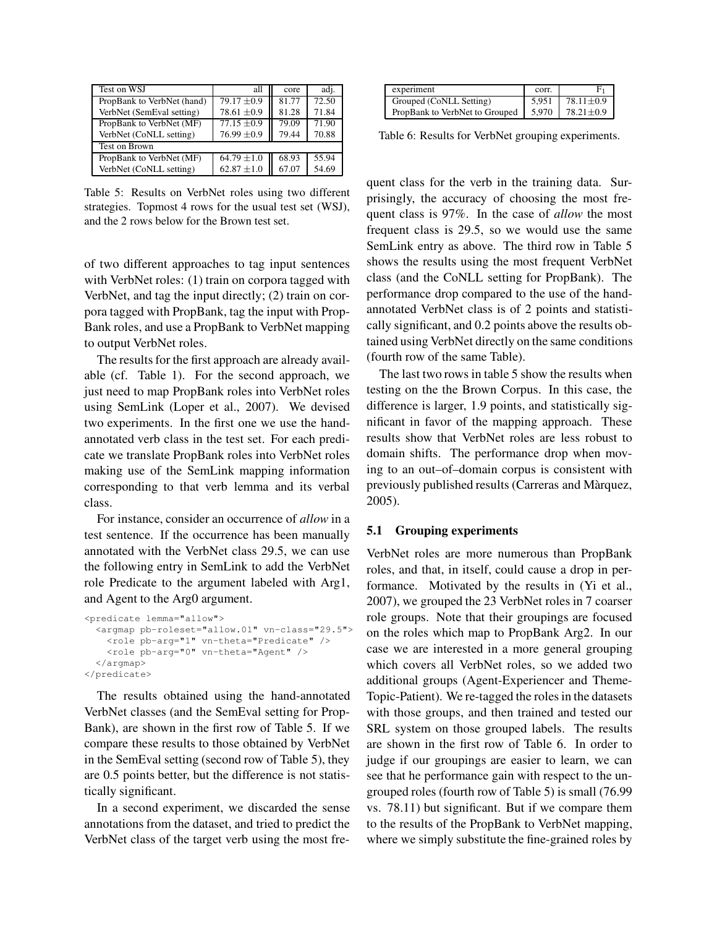| Test on WSJ                | all             | core  | adj.  |
|----------------------------|-----------------|-------|-------|
| PropBank to VerbNet (hand) | $79.17 \pm 0.9$ | 81.77 | 72.50 |
| VerbNet (SemEval setting)  | $78.61 \pm 0.9$ | 81.28 | 71.84 |
| PropBank to VerbNet (MF)   | $77.15 \pm 0.9$ | 79.09 | 71.90 |
| VerbNet (CoNLL setting)    | $76.99 \pm 0.9$ | 79.44 | 70.88 |
| Test on Brown              |                 |       |       |
| PropBank to VerbNet (MF)   | $64.79 \pm 1.0$ | 68.93 | 55.94 |
| VerbNet (CoNLL setting)    | $62.87 \pm 1.0$ | 67.07 | 54.69 |

Table 5: Results on VerbNet roles using two different strategies. Topmost 4 rows for the usual test set (WSJ), and the 2 rows below for the Brown test set.

of two different approaches to tag input sentences with VerbNet roles: (1) train on corpora tagged with VerbNet, and tag the input directly; (2) train on corpora tagged with PropBank, tag the input with Prop-Bank roles, and use a PropBank to VerbNet mapping to output VerbNet roles.

The results for the first approach are already available (cf. Table 1). For the second approach, we just need to map PropBank roles into VerbNet roles using SemLink (Loper et al., 2007). We devised two experiments. In the first one we use the handannotated verb class in the test set. For each predicate we translate PropBank roles into VerbNet roles making use of the SemLink mapping information corresponding to that verb lemma and its verbal class.

For instance, consider an occurrence of *allow* in a test sentence. If the occurrence has been manually annotated with the VerbNet class 29.5, we can use the following entry in SemLink to add the VerbNet role Predicate to the argument labeled with Arg1, and Agent to the Arg0 argument.

```
<predicate lemma="allow">
  <argmap pb-roleset="allow.01" vn-class="29.5">
    <role pb-arg="1" vn-theta="Predicate" />
    <role pb-arg="0" vn-theta="Agent" />
  </argmap>
</predicate>
```
The results obtained using the hand-annotated VerbNet classes (and the SemEval setting for Prop-Bank), are shown in the first row of Table 5. If we compare these results to those obtained by VerbNet in the SemEval setting (second row of Table 5), they are 0.5 points better, but the difference is not statistically significant.

In a second experiment, we discarded the sense annotations from the dataset, and tried to predict the VerbNet class of the target verb using the most fre-

| experiment                                                                   | COTT. |                         |
|------------------------------------------------------------------------------|-------|-------------------------|
| Grouped (CoNLL Setting)                                                      |       | $5.951$ 78.11 $\pm$ 0.9 |
| PropBank to VerbNet to Grouped $\vert$ 5.970 $\vert$ 78.21 $\pm$ 0.9 $\vert$ |       |                         |

Table 6: Results for VerbNet grouping experiments.

quent class for the verb in the training data. Surprisingly, the accuracy of choosing the most frequent class is 97%. In the case of allow the most frequent class is 29.5, so we would use the same SemLink entry as above. The third row in Table 5 shows the results using the most frequent VerbNet class (and the CoNLL setting for PropBank). The performance drop compared to the use of the handannotated VerbNet class is of 2 points and statistically significant, and 0.2 points above the results obtained using VerbNet directly on the same conditions (fourth row of the same Table).

The last two rows in table 5 show the results when testing on the the Brown Corpus. In this case, the difference is larger, 1.9 points, and statistically significant in favor of the mapping approach. These results show that VerbNet roles are less robust to domain shifts. The performance drop when moving to an out–of–domain corpus is consistent with previously published results (Carreras and Màrquez, 2005).

#### 5.1 Grouping experiments

VerbNet roles are more numerous than PropBank roles, and that, in itself, could cause a drop in performance. Motivated by the results in (Yi et al., 2007), we grouped the 23 VerbNet roles in 7 coarser role groups. Note that their groupings are focused on the roles which map to PropBank Arg2. In our case we are interested in a more general grouping which covers all VerbNet roles, so we added two additional groups (Agent-Experiencer and Theme-Topic-Patient). We re-tagged the roles in the datasets with those groups, and then trained and tested our SRL system on those grouped labels. The results are shown in the first row of Table 6. In order to judge if our groupings are easier to learn, we can see that he performance gain with respect to the ungrouped roles (fourth row of Table 5) is small (76.99 vs. 78.11) but significant. But if we compare them to the results of the PropBank to VerbNet mapping, where we simply substitute the fine-grained roles by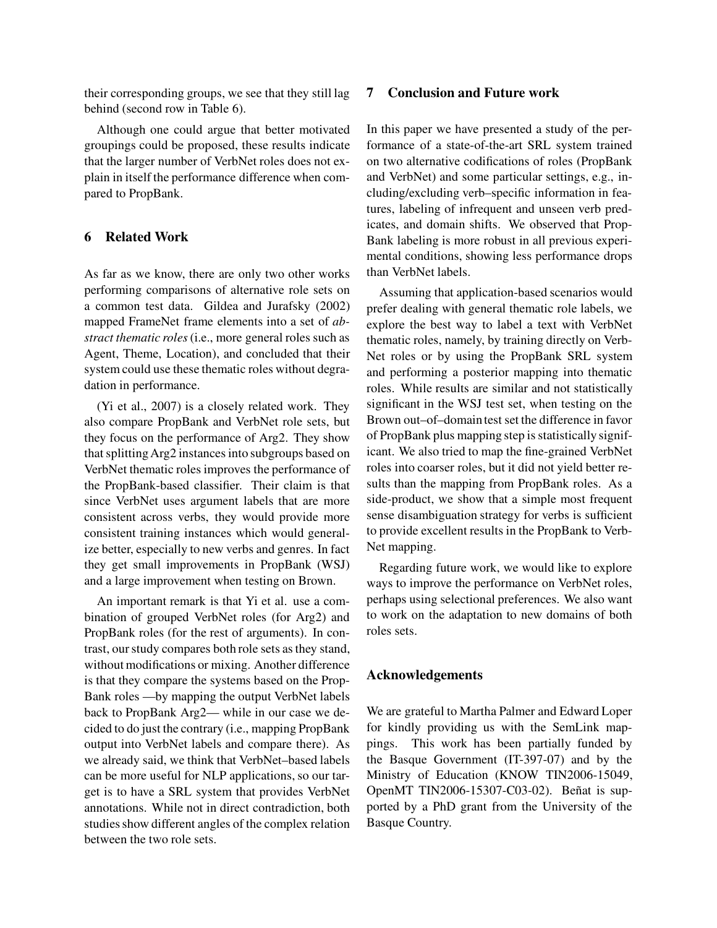their corresponding groups, we see that they still lag behind (second row in Table 6).

Although one could argue that better motivated groupings could be proposed, these results indicate that the larger number of VerbNet roles does not explain in itself the performance difference when compared to PropBank.

## 6 Related Work

As far as we know, there are only two other works performing comparisons of alternative role sets on a common test data. Gildea and Jurafsky (2002) mapped FrameNet frame elements into a set of abstract thematic roles (i.e., more general roles such as Agent, Theme, Location), and concluded that their system could use these thematic roles without degradation in performance.

(Yi et al., 2007) is a closely related work. They also compare PropBank and VerbNet role sets, but they focus on the performance of Arg2. They show that splitting Arg2 instances into subgroups based on VerbNet thematic roles improves the performance of the PropBank-based classifier. Their claim is that since VerbNet uses argument labels that are more consistent across verbs, they would provide more consistent training instances which would generalize better, especially to new verbs and genres. In fact they get small improvements in PropBank (WSJ) and a large improvement when testing on Brown.

An important remark is that Yi et al. use a combination of grouped VerbNet roles (for Arg2) and PropBank roles (for the rest of arguments). In contrast, our study compares both role sets as they stand, without modifications or mixing. Another difference is that they compare the systems based on the Prop-Bank roles —by mapping the output VerbNet labels back to PropBank Arg2— while in our case we decided to do just the contrary (i.e., mapping PropBank output into VerbNet labels and compare there). As we already said, we think that VerbNet–based labels can be more useful for NLP applications, so our target is to have a SRL system that provides VerbNet annotations. While not in direct contradiction, both studies show different angles of the complex relation between the two role sets.

#### 7 Conclusion and Future work

In this paper we have presented a study of the performance of a state-of-the-art SRL system trained on two alternative codifications of roles (PropBank and VerbNet) and some particular settings, e.g., including/excluding verb–specific information in features, labeling of infrequent and unseen verb predicates, and domain shifts. We observed that Prop-Bank labeling is more robust in all previous experimental conditions, showing less performance drops than VerbNet labels.

Assuming that application-based scenarios would prefer dealing with general thematic role labels, we explore the best way to label a text with VerbNet thematic roles, namely, by training directly on Verb-Net roles or by using the PropBank SRL system and performing a posterior mapping into thematic roles. While results are similar and not statistically significant in the WSJ test set, when testing on the Brown out–of–domain test set the difference in favor of PropBank plus mapping step is statistically significant. We also tried to map the fine-grained VerbNet roles into coarser roles, but it did not yield better results than the mapping from PropBank roles. As a side-product, we show that a simple most frequent sense disambiguation strategy for verbs is sufficient to provide excellent results in the PropBank to Verb-Net mapping.

Regarding future work, we would like to explore ways to improve the performance on VerbNet roles, perhaps using selectional preferences. We also want to work on the adaptation to new domains of both roles sets.

#### Acknowledgements

We are grateful to Martha Palmer and Edward Loper for kindly providing us with the SemLink mappings. This work has been partially funded by the Basque Government (IT-397-07) and by the Ministry of Education (KNOW TIN2006-15049, OpenMT TIN2006-15307-C03-02). Beñat is supported by a PhD grant from the University of the Basque Country.